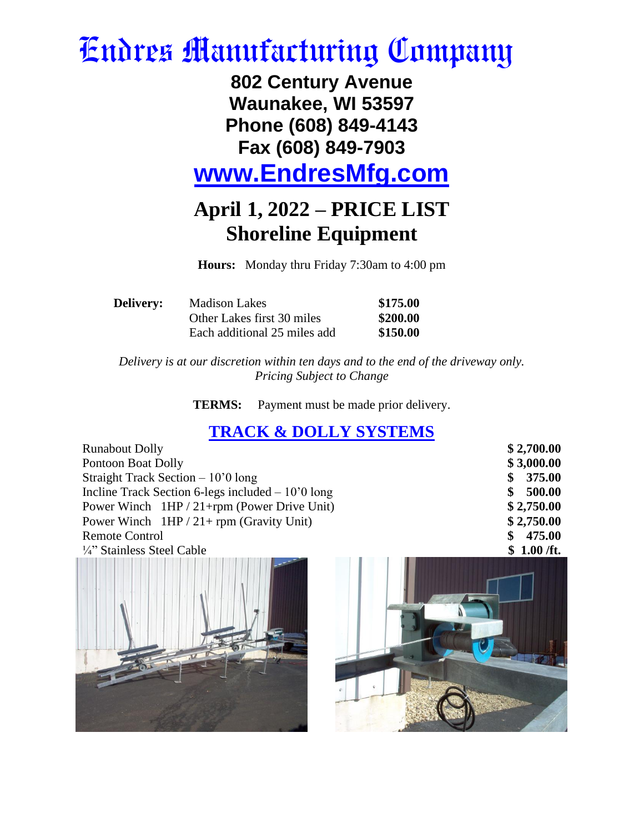## Endres Manufacturing Company

**802 Century Avenue Waunakee, WI 53597 Phone (608) 849-4143 Fax (608) 849-7903** 

**[www.EndresMfg.com](http://www.endresmfg.com/)**

## **April 1, 2022 – PRICE LIST Shoreline Equipment**

**Hours:** Monday thru Friday 7:30am to 4:00 pm

| <b>Delivery:</b> | <b>Madison Lakes</b>         | \$175.00 |  |
|------------------|------------------------------|----------|--|
|                  | Other Lakes first 30 miles   | \$200.00 |  |
|                  | Each additional 25 miles add | \$150.00 |  |

*Delivery is at our discretion within ten days and to the end of the driveway only. Pricing Subject to Change*

**TERMS:** Payment must be made prior delivery.

## **TRACK & DOLLY SYSTEMS**

| <b>Runabout Dolly</b>                              | \$2,700.00    |
|----------------------------------------------------|---------------|
| Pontoon Boat Dolly                                 | \$3,000.00    |
| Straight Track Section $-10'0$ long                | 375.00<br>S.  |
| Incline Track Section 6-legs included $-10'0$ long | 500.00<br>SS. |
| Power Winch $1HP / 21 + rpm$ (Power Drive Unit)    | \$2,750.00    |
| Power Winch $1HP / 21 + rpm$ (Gravity Unit)        | \$2,750.00    |
| <b>Remote Control</b>                              | 475.00<br>S.  |
| 1/4" Stainless Steel Cable                         | \$1.00 / ft.  |